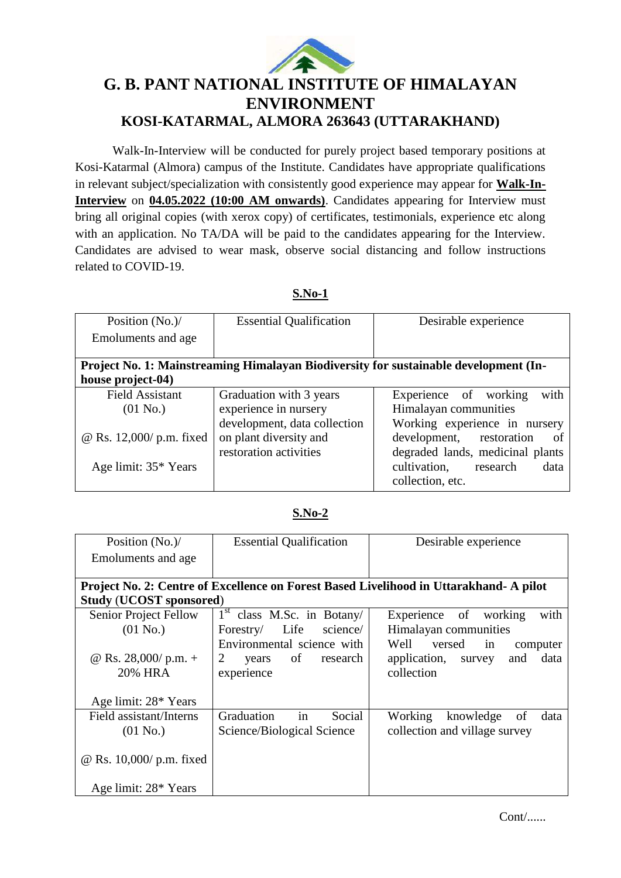

## **G. B. PANT NATIONAL INSTITUTE OF HIMALAYAN ENVIRONMENT KOSI-KATARMAL, ALMORA 263643 (UTTARAKHAND)**

Walk-In-Interview will be conducted for purely project based temporary positions at Kosi-Katarmal (Almora) campus of the Institute. Candidates have appropriate qualifications in relevant subject/specialization with consistently good experience may appear for **Walk-In-Interview** on **04.05.2022 (10:00 AM onwards)**. Candidates appearing for Interview must bring all original copies (with xerox copy) of certificates, testimonials, experience etc along with an application. No TA/DA will be paid to the candidates appearing for the Interview. Candidates are advised to wear mask, observe social distancing and follow instructions related to COVID-19.

**S.No-1**

| Position $(No.)/$<br>Emoluments and age                                              | <b>Essential Qualification</b>                        | Desirable experience                                               |  |  |  |  |
|--------------------------------------------------------------------------------------|-------------------------------------------------------|--------------------------------------------------------------------|--|--|--|--|
| Project No. 1: Mainstreaming Himalayan Biodiversity for sustainable development (In- |                                                       |                                                                    |  |  |  |  |
| house project-04)                                                                    |                                                       |                                                                    |  |  |  |  |
| <b>Field Assistant</b>                                                               | Graduation with 3 years                               | with<br>Experience of working                                      |  |  |  |  |
| (01 N <sub>0</sub> )                                                                 | experience in nursery<br>development, data collection | Himalayan communities<br>Working experience in nursery             |  |  |  |  |
| @ Rs. 12,000/ p.m. fixed                                                             | on plant diversity and<br>restoration activities      | development, restoration<br>of<br>degraded lands, medicinal plants |  |  |  |  |
| Age limit: 35* Years                                                                 |                                                       | cultivation,<br>research<br>data<br>collection, etc.               |  |  |  |  |

## **S.No-2**

| Position (No.)/                                                                        | <b>Essential Qualification</b>         | Desirable experience               |  |  |  |  |
|----------------------------------------------------------------------------------------|----------------------------------------|------------------------------------|--|--|--|--|
| Emoluments and age                                                                     |                                        |                                    |  |  |  |  |
|                                                                                        |                                        |                                    |  |  |  |  |
| Project No. 2: Centre of Excellence on Forest Based Livelihood in Uttarakhand- A pilot |                                        |                                    |  |  |  |  |
| <b>Study (UCOST sponsored)</b>                                                         |                                        |                                    |  |  |  |  |
| Senior Project Fellow                                                                  | $1st$ class M.Sc. in Botany/           | with<br>Experience of working      |  |  |  |  |
| $(01$ No.)                                                                             | Life<br>science/<br>Forestry/          | Himalayan communities              |  |  |  |  |
|                                                                                        | Environmental science with             | Well versed<br>in<br>computer      |  |  |  |  |
| @ Rs. 28,000/ p.m. +                                                                   | $\overline{2}$<br>years of<br>research | application, survey<br>data<br>and |  |  |  |  |
| <b>20% HRA</b>                                                                         | experience                             | collection                         |  |  |  |  |
|                                                                                        |                                        |                                    |  |  |  |  |
| Age limit: 28* Years                                                                   |                                        |                                    |  |  |  |  |
| Field assistant/Interns                                                                | in<br>Social<br>Graduation             | Working<br>knowledge<br>data<br>of |  |  |  |  |
| $(01$ No.)                                                                             | Science/Biological Science             | collection and village survey      |  |  |  |  |
|                                                                                        |                                        |                                    |  |  |  |  |
| $\omega$ Rs. 10,000/ p.m. fixed                                                        |                                        |                                    |  |  |  |  |
|                                                                                        |                                        |                                    |  |  |  |  |
| Age limit: 28* Years                                                                   |                                        |                                    |  |  |  |  |